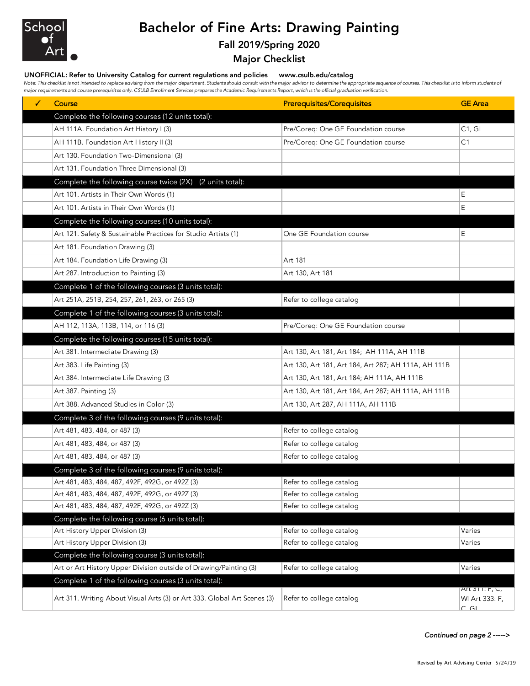

## Bachelor of Fine Arts: Drawing Painting

## Fall 2019/Spring 2020

Major Checklist

## UNOFFICIAL: Refer to University Catalog for current regulations and policies www.csulb.edu/catalog

Note: This checklist is not intended to replace advising from the major department. Students should consult with the major advisor to determine the appropriate sequence of courses. This checklist is to inform students of *major requirements and course prerequisites only. CSULB Enrollment Services prepares the Academic Requirements Report, which is the official graduation verification.*

| ✓ | Course                                                                   | <b>Prerequisites/Corequisites</b>                    | <b>GE</b> Area |
|---|--------------------------------------------------------------------------|------------------------------------------------------|----------------|
|   | Complete the following courses (12 units total):                         |                                                      |                |
|   | AH 111A. Foundation Art History I (3)                                    | Pre/Coreq: One GE Foundation course                  | C1, G1         |
|   | AH 111B. Foundation Art History II (3)                                   | Pre/Coreq: One GE Foundation course                  | C1             |
|   | Art 130. Foundation Two-Dimensional (3)                                  |                                                      |                |
|   | Art 131. Foundation Three Dimensional (3)                                |                                                      |                |
|   | Complete the following course twice (2X) (2 units total):                |                                                      |                |
|   | Art 101. Artists in Their Own Words (1)                                  |                                                      | Ε              |
|   | Art 101. Artists in Their Own Words (1)                                  |                                                      | Ε              |
|   | Complete the following courses (10 units total):                         |                                                      |                |
|   | Art 121. Safety & Sustainable Practices for Studio Artists (1)           | One GE Foundation course                             | E              |
|   | Art 181. Foundation Drawing (3)                                          |                                                      |                |
|   | Art 184. Foundation Life Drawing (3)                                     | Art 181                                              |                |
|   | Art 287. Introduction to Painting (3)                                    | Art 130, Art 181                                     |                |
|   | Complete 1 of the following courses (3 units total):                     |                                                      |                |
|   | Art 251A, 251B, 254, 257, 261, 263, or 265 (3)                           | Refer to college catalog                             |                |
|   | Complete 1 of the following courses (3 units total):                     |                                                      |                |
|   | AH 112, 113A, 113B, 114, or 116 (3)                                      | Pre/Coreq: One GE Foundation course                  |                |
|   | Complete the following courses (15 units total):                         |                                                      |                |
|   | Art 381. Intermediate Drawing (3)                                        | Art 130, Art 181, Art 184; AH 111A, AH 111B          |                |
|   | Art 383. Life Painting (3)                                               | Art 130, Art 181, Art 184, Art 287; AH 111A, AH 111B |                |
|   | Art 384. Intermediate Life Drawing (3                                    | Art 130, Art 181, Art 184; AH 111A, AH 111B          |                |
|   | Art 387. Painting (3)                                                    | Art 130, Art 181, Art 184, Art 287; AH 111A, AH 111B |                |
|   | Art 388. Advanced Studies in Color (3)                                   | Art 130, Art 287, AH 111A, AH 111B                   |                |
|   | Complete 3 of the following courses (9 units total):                     |                                                      |                |
|   | Art 481, 483, 484, or 487 (3)                                            | Refer to college catalog                             |                |
|   | Art 481, 483, 484, or 487 (3)                                            | Refer to college catalog                             |                |
|   | Art 481, 483, 484, or 487 (3)                                            | Refer to college catalog                             |                |
|   | Complete 3 of the following courses (9 units total):                     |                                                      |                |
|   | Art 481, 483, 484, 487, 492F, 492G, or 492Z (3)                          | Refer to college catalog                             |                |
|   | Art 481, 483, 484, 487, 492F, 492G, or 492Z (3)                          | Refer to college catalog                             |                |
|   | Art 481, 483, 484, 487, 492F, 492G, or 492Z (3)                          | Refer to college catalog                             |                |
|   | Complete the following course (6 units total):                           |                                                      |                |
|   | Art History Upper Division (3)                                           | Refer to college catalog                             | Varies         |
|   | Art History Upper Division (3)                                           | Refer to college catalog                             | Varies         |
|   | Complete the following course (3 units total):                           |                                                      |                |
|   | Art or Art History Upper Division outside of Drawing/Painting (3)        | Refer to college catalog                             | Varies         |
|   | Complete 1 of the following courses (3 units total):                     |                                                      | Art 311: F, C, |
|   | Art 311. Writing About Visual Arts (3) or Art 333. Global Art Scenes (3) | Refer to college catalog                             | WI Art 333: F, |
|   |                                                                          |                                                      | $C$ GL         |

*Continued on page 2 ----->*